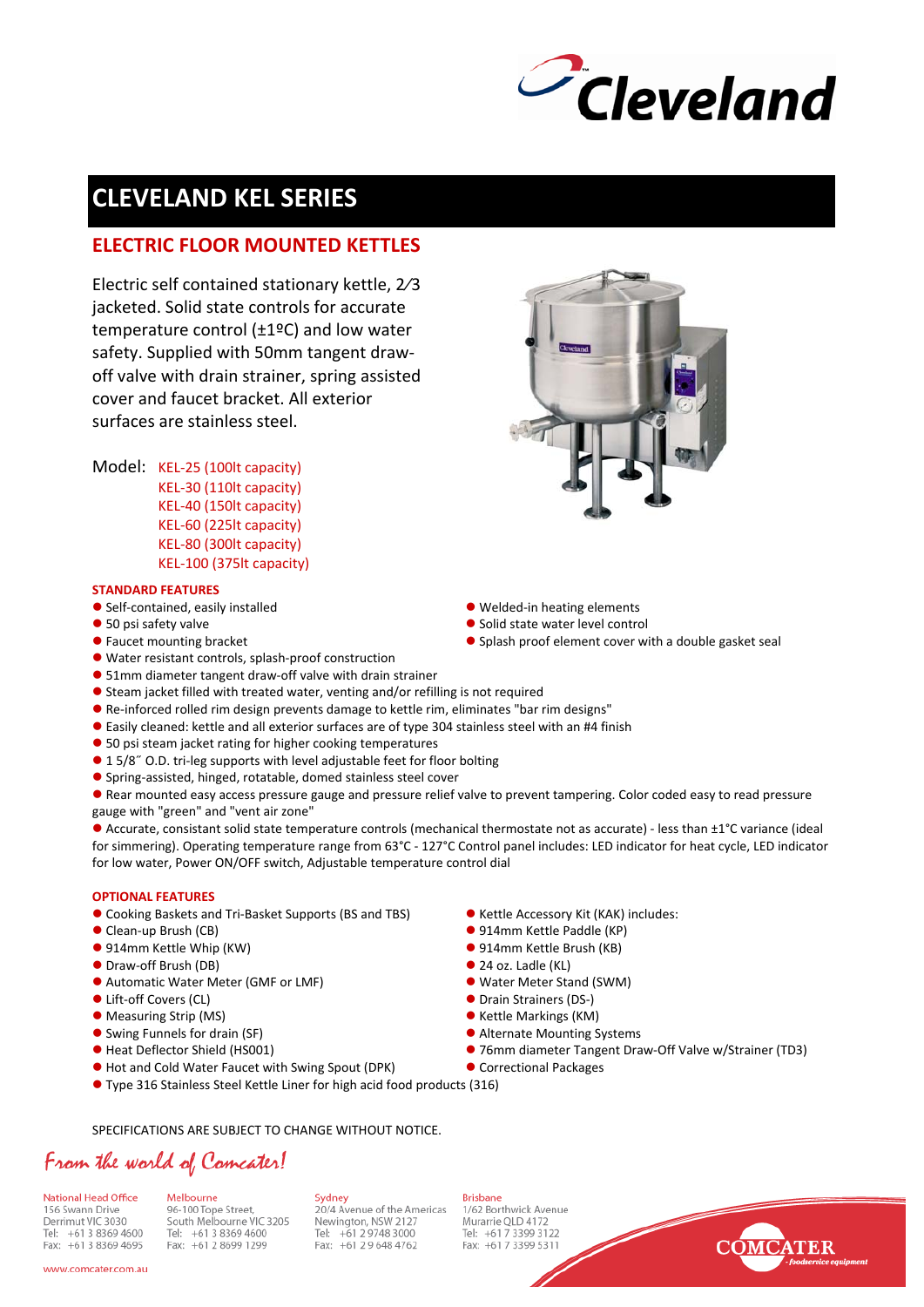

## **CLEVELAND KEL SERIES**

### **ELECTRIC FLOOR MOUNTED KETTLES**

Electric self contained stationary kettle, 2⁄3 jacketed. Solid state controls for accurate temperature control (±1ºC) and low water safety. Supplied with 50mm tangent draw‐ off valve with drain strainer, spring assisted cover and faucet bracket. All exterior surfaces are stainless steel.

Model: KEL‐25 (100lt capacity) KEL‐30 (110lt capacity) KEL‐40 (150lt capacity) KEL‐60 (225lt capacity) KEL‐80 (300lt capacity) KEL‐100 (375lt capacity)

#### **STANDARD FEATURES**

- Self-contained, easily installed a metal website the Melded-in heating elements
- 
- 
- Water resistant controls, splash-proof construction
- 51mm diameter tangent draw-off valve with drain strainer
- $\bullet$  Steam jacket filled with treated water, venting and/or refilling is not required
- Re-inforced rolled rim design prevents damage to kettle rim, eliminates "bar rim designs"
- **•** Easily cleaned: kettle and all exterior surfaces are of type 304 stainless steel with an #4 finish
- 50 psi steam jacket rating for higher cooking temperatures
- 1 5/8<sup> $\degree$ </sup> O.D. tri-leg supports with level adjustable feet for floor bolting
- Spring-assisted, hinged, rotatable, domed stainless steel cover

**• Rear mounted easy access pressure gauge and pressure relief valve to prevent tampering. Color coded easy to read pressure** gauge with "green" and "vent air zone"

● Accurate, consistant solid state temperature controls (mechanical thermostate not as accurate) - less than ±1°C variance (ideal for simmering). Operating temperature range from 63°C ‐ 127°C Control panel includes: LED indicator for heat cycle, LED indicator for low water, Power ON/OFF switch, Adjustable temperature control dial

#### **OPTIONAL FEATURES**

- Cooking Baskets and Tri-Basket Supports (BS and TBS) Kettle Accessory Kit (KAK) includes:
- 
- 914mm Kettle Whip (KW) 914mm Kettle Brush (KB)
- Draw-off Brush (DB) 34 oz. Ladle (KL)
- Automatic Water Meter (GMF or LMF) **z Water Meter Meter Stand (SWM)**
- 
- z Measuring Strip (MS) z Kettle Markings (KM)
- 
- 
- Hot and Cold Water Faucet with Swing Spout (DPK) Correctional Packages
- Type 316 Stainless Steel Kettle Liner for high acid food products (316)

SPECIFICATIONS ARE SUBJECT TO CHANGE WITHOUT NOTICE.

## From the world of Comcater!

National Head Office 156 Swann Drive Derrimut VIC 3030 Tel: +61 3 8369 4600 Fax: +61 3 8369 4695

www.comcater.com.au

Melbourne 96-100 Tope Street, South Melbourne VIC 3205 Tel: +61 3 8369 4600 Fax: +61 2 8699 1299

Sydney 20/4 Avenue of the Americas<br>Newington, NSW 2127<br>Tel: +61 2 9748 3000 Fax: +61 2 9 648 4762

**Brisbane** 1/62 Borthwick Avenue Murarrie OLD 4172 Tel: +61 7 3399 3122 Fax: +61 7 3399 5311



- 
- Clean-up Brush (CB) 2020 2020 2020 2021 2020 2021 2020 2021 2020 2021 2020 2021 2020 2021 2020 2021 2020 2020 2020 2020 2020 2020 2020 2020 2020 2020 2020 2020 2020 2020 2020 2020 2020 2020 2020 2020 2020 2020 2020 2020
	-
	-
	-
- z Lift‐off Covers (CL) z Drain Strainers (DS‐)
	-
- Swing Funnels for drain (SF)  $\bullet$  Alternate Mounting Systems
- Heat Deflector Shield (HS001) 26 mm diameter Tangent Draw-Off Valve w/Strainer (TD3)
	-

- 
- 50 psi safety valve <br>● Solid state water level control<br>● Faucet mounting bracket and the solid state water level control
	- $\bullet$  Splash proof element cover with a double gasket seal